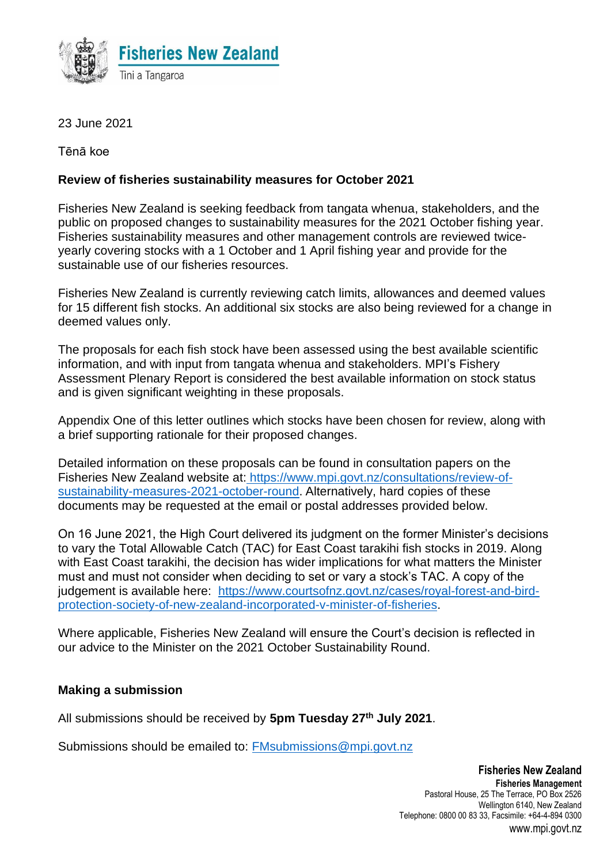

23 June 2021

Tēnā koe

## **Review of fisheries sustainability measures for October 2021**

Fisheries New Zealand is seeking feedback from tangata whenua, stakeholders, and the public on proposed changes to sustainability measures for the 2021 October fishing year. Fisheries sustainability measures and other management controls are reviewed twiceyearly covering stocks with a 1 October and 1 April fishing year and provide for the sustainable use of our fisheries resources.

Fisheries New Zealand is currently reviewing catch limits, allowances and deemed values for 15 different fish stocks. An additional six stocks are also being reviewed for a change in deemed values only.

The proposals for each fish stock have been assessed using the best available scientific information, and with input from tangata whenua and stakeholders. MPI's Fishery Assessment Plenary Report is considered the best available information on stock status and is given significant weighting in these proposals.

Appendix One of this letter outlines which stocks have been chosen for review, along with a brief supporting rationale for their proposed changes.

Detailed information on these proposals can be found in consultation papers on the Fisheries New Zealand website at: [https://www.mpi.govt.nz/consultations/review-of](https://www.mpi.govt.nz/consultations/review-of-sustainability-measures-2021-october-round)[sustainability-measures-2021-october-round.](https://www.mpi.govt.nz/consultations/review-of-sustainability-measures-2021-october-round) Alternatively, hard copies of these documents may be requested at the email or postal addresses provided below.

On 16 June 2021, the High Court delivered its judgment on the former Minister's decisions to vary the Total Allowable Catch (TAC) for East Coast tarakihi fish stocks in 2019. Along with East Coast tarakihi, the decision has wider implications for what matters the Minister must and must not consider when deciding to set or vary a stock's TAC. A copy of the judgement is available here: [https://www.courtsofnz.govt.nz/cases/royal-forest-and-bird](https://www.courtsofnz.govt.nz/cases/royal-forest-and-bird-protection-society-of-new-zealand-incorporated-v-minister-of-fisheries)[protection-society-of-new-zealand-incorporated-v-minister-of-fisheries.](https://www.courtsofnz.govt.nz/cases/royal-forest-and-bird-protection-society-of-new-zealand-incorporated-v-minister-of-fisheries)

Where applicable, Fisheries New Zealand will ensure the Court's decision is reflected in our advice to the Minister on the 2021 October Sustainability Round.

## **Making a submission**

All submissions should be received by **5pm Tuesday 27 th July 2021**.

Submissions should be emailed to: [FMsubmissions@mpi.govt.nz](mailto:FMsubmissions@mpi.govt.nz)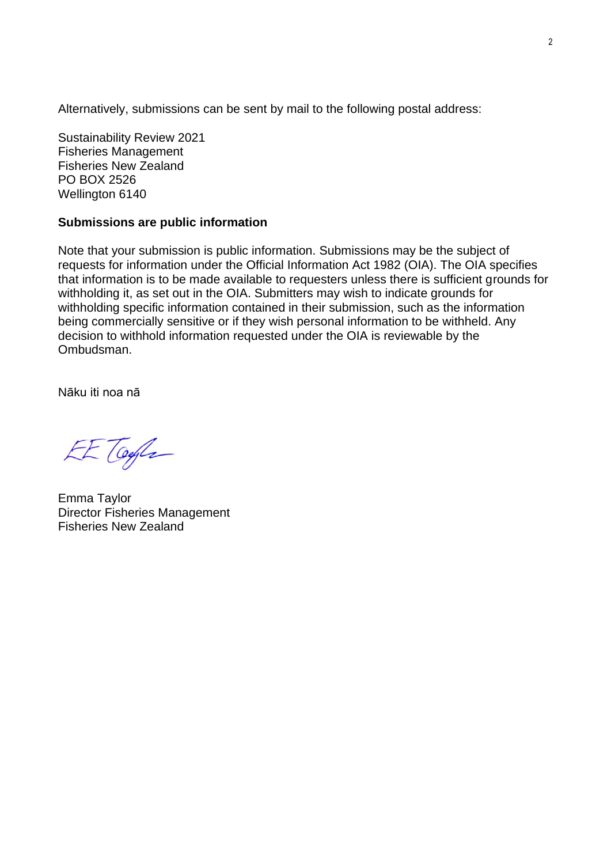Alternatively, submissions can be sent by mail to the following postal address:

Sustainability Review 2021 Fisheries Management Fisheries New Zealand PO BOX 2526 Wellington 6140

## **Submissions are public information**

Note that your submission is public information. Submissions may be the subject of requests for information under the Official Information Act 1982 (OIA). The OIA specifies that information is to be made available to requesters unless there is sufficient grounds for withholding it, as set out in the OIA. Submitters may wish to indicate grounds for withholding specific information contained in their submission, such as the information being commercially sensitive or if they wish personal information to be withheld. Any decision to withhold information requested under the OIA is reviewable by the Ombudsman.

Nāku iti noa nā

EE Toyla

Emma Taylor Director Fisheries Management Fisheries New Zealand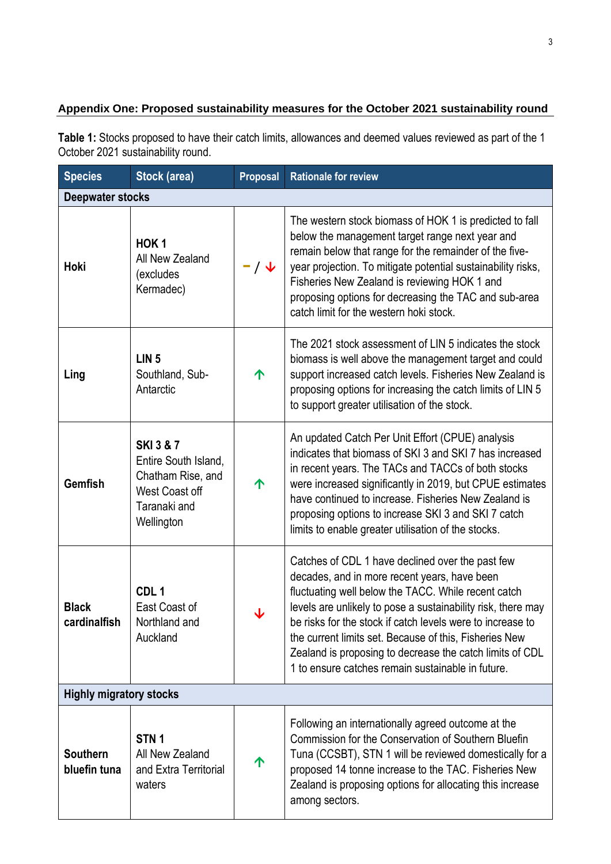## **Appendix One: Proposed sustainability measures for the October 2021 sustainability round**

**Table 1:** Stocks proposed to have their catch limits, allowances and deemed values reviewed as part of the 1 October 2021 sustainability round.

| <b>Species</b>                  | Stock (area)                                                                                                      | <b>Proposal</b> | <b>Rationale for review</b>                                                                                                                                                                                                                                                                                                                                                                                                                                      |  |  |  |  |
|---------------------------------|-------------------------------------------------------------------------------------------------------------------|-----------------|------------------------------------------------------------------------------------------------------------------------------------------------------------------------------------------------------------------------------------------------------------------------------------------------------------------------------------------------------------------------------------------------------------------------------------------------------------------|--|--|--|--|
| <b>Deepwater stocks</b>         |                                                                                                                   |                 |                                                                                                                                                                                                                                                                                                                                                                                                                                                                  |  |  |  |  |
| Hoki                            | HOK <sub>1</sub><br>All New Zealand<br>(excludes<br>Kermadec)                                                     | $- / \sqrt$     | The western stock biomass of HOK 1 is predicted to fall<br>below the management target range next year and<br>remain below that range for the remainder of the five-<br>year projection. To mitigate potential sustainability risks,<br>Fisheries New Zealand is reviewing HOK 1 and<br>proposing options for decreasing the TAC and sub-area<br>catch limit for the western hoki stock.                                                                         |  |  |  |  |
| Ling                            | LIN <sub>5</sub><br>Southland, Sub-<br>Antarctic                                                                  | 个               | The 2021 stock assessment of LIN 5 indicates the stock<br>biomass is well above the management target and could<br>support increased catch levels. Fisheries New Zealand is<br>proposing options for increasing the catch limits of LIN 5<br>to support greater utilisation of the stock.                                                                                                                                                                        |  |  |  |  |
| <b>Gemfish</b>                  | <b>SKI 3 &amp; 7</b><br>Entire South Island,<br>Chatham Rise, and<br>West Coast off<br>Taranaki and<br>Wellington | 个               | An updated Catch Per Unit Effort (CPUE) analysis<br>indicates that biomass of SKI 3 and SKI 7 has increased<br>in recent years. The TACs and TACCs of both stocks<br>were increased significantly in 2019, but CPUE estimates<br>have continued to increase. Fisheries New Zealand is<br>proposing options to increase SKI 3 and SKI 7 catch<br>limits to enable greater utilisation of the stocks.                                                              |  |  |  |  |
| <b>Black</b><br>cardinalfish    | CDL <sub>1</sub><br>East Coast of<br>Northland and<br>Auckland                                                    | ↓               | Catches of CDL 1 have declined over the past few<br>decades, and in more recent years, have been<br>fluctuating well below the TACC. While recent catch<br>levels are unlikely to pose a sustainability risk, there may<br>be risks for the stock if catch levels were to increase to<br>the current limits set. Because of this, Fisheries New<br>Zealand is proposing to decrease the catch limits of CDL<br>1 to ensure catches remain sustainable in future. |  |  |  |  |
| <b>Highly migratory stocks</b>  |                                                                                                                   |                 |                                                                                                                                                                                                                                                                                                                                                                                                                                                                  |  |  |  |  |
| <b>Southern</b><br>bluefin tuna | STN <sub>1</sub><br>All New Zealand<br>and Extra Territorial<br>waters                                            | 个               | Following an internationally agreed outcome at the<br>Commission for the Conservation of Southern Bluefin<br>Tuna (CCSBT), STN 1 will be reviewed domestically for a<br>proposed 14 tonne increase to the TAC. Fisheries New<br>Zealand is proposing options for allocating this increase<br>among sectors.                                                                                                                                                      |  |  |  |  |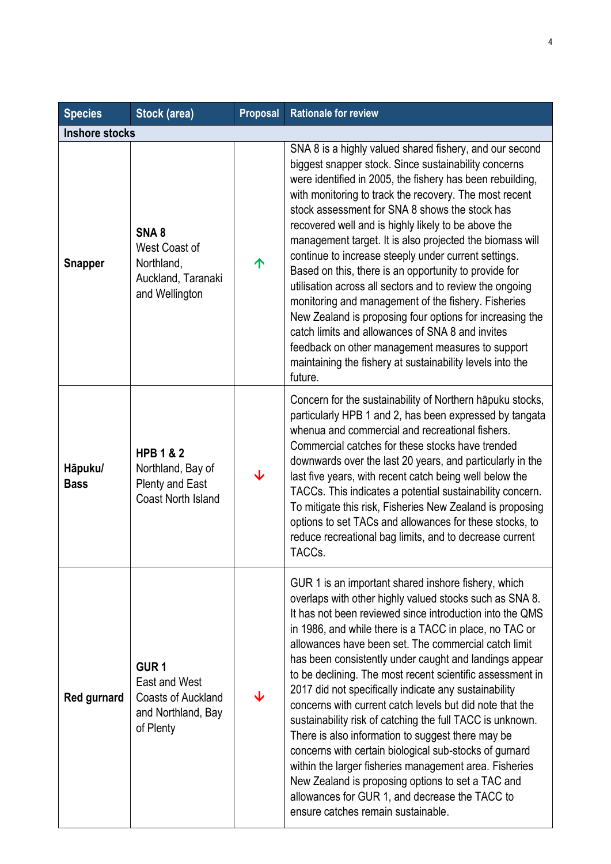| <b>Species</b>         | Stock (area)                                                                                      | <b>Proposal</b> | <b>Rationale for review</b>                                                                                                                                                                                                                                                                                                                                                                                                                                                                                                                                                                                                                                                                                                                                                                                                                                                                                                 |  |
|------------------------|---------------------------------------------------------------------------------------------------|-----------------|-----------------------------------------------------------------------------------------------------------------------------------------------------------------------------------------------------------------------------------------------------------------------------------------------------------------------------------------------------------------------------------------------------------------------------------------------------------------------------------------------------------------------------------------------------------------------------------------------------------------------------------------------------------------------------------------------------------------------------------------------------------------------------------------------------------------------------------------------------------------------------------------------------------------------------|--|
| <b>Inshore stocks</b>  |                                                                                                   |                 |                                                                                                                                                                                                                                                                                                                                                                                                                                                                                                                                                                                                                                                                                                                                                                                                                                                                                                                             |  |
| <b>Snapper</b>         | SNA <sub>8</sub><br>West Coast of<br>Northland,<br>Auckland, Taranaki<br>and Wellington           | ↑               | SNA 8 is a highly valued shared fishery, and our second<br>biggest snapper stock. Since sustainability concerns<br>were identified in 2005, the fishery has been rebuilding,<br>with monitoring to track the recovery. The most recent<br>stock assessment for SNA 8 shows the stock has<br>recovered well and is highly likely to be above the<br>management target. It is also projected the biomass will<br>continue to increase steeply under current settings.<br>Based on this, there is an opportunity to provide for<br>utilisation across all sectors and to review the ongoing<br>monitoring and management of the fishery. Fisheries<br>New Zealand is proposing four options for increasing the<br>catch limits and allowances of SNA 8 and invites<br>feedback on other management measures to support<br>maintaining the fishery at sustainability levels into the<br>future.                                 |  |
| Hāpuku/<br><b>Bass</b> | <b>HPB 1 &amp; 2</b><br>Northland, Bay of<br><b>Plenty and East</b><br><b>Coast North Island</b>  | ↓               | Concern for the sustainability of Northern hapuku stocks,<br>particularly HPB 1 and 2, has been expressed by tangata<br>whenua and commercial and recreational fishers.<br>Commercial catches for these stocks have trended<br>downwards over the last 20 years, and particularly in the<br>last five years, with recent catch being well below the<br>TACCs. This indicates a potential sustainability concern.<br>To mitigate this risk, Fisheries New Zealand is proposing<br>options to set TACs and allowances for these stocks, to<br>reduce recreational bag limits, and to decrease current<br>TACCs.                                                                                                                                                                                                                                                                                                               |  |
| Red gurnard            | GUR <sub>1</sub><br>East and West<br><b>Coasts of Auckland</b><br>and Northland, Bay<br>of Plenty |                 | GUR 1 is an important shared inshore fishery, which<br>overlaps with other highly valued stocks such as SNA 8.<br>It has not been reviewed since introduction into the QMS<br>in 1986, and while there is a TACC in place, no TAC or<br>allowances have been set. The commercial catch limit<br>has been consistently under caught and landings appear<br>to be declining. The most recent scientific assessment in<br>2017 did not specifically indicate any sustainability<br>concerns with current catch levels but did note that the<br>sustainability risk of catching the full TACC is unknown.<br>There is also information to suggest there may be<br>concerns with certain biological sub-stocks of gurnard<br>within the larger fisheries management area. Fisheries<br>New Zealand is proposing options to set a TAC and<br>allowances for GUR 1, and decrease the TACC to<br>ensure catches remain sustainable. |  |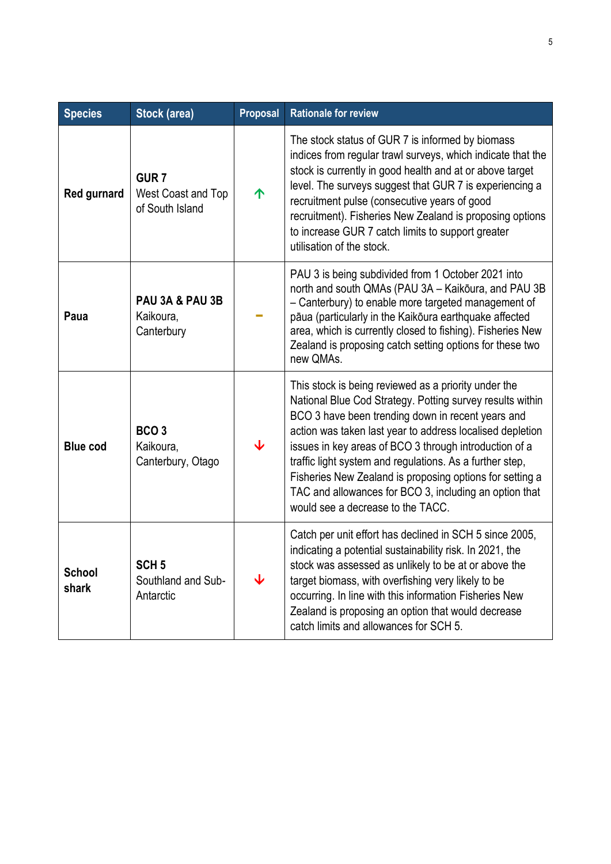| <b>Species</b>         | <b>Stock (area)</b>                                       | <b>Proposal</b>         | <b>Rationale for review</b>                                                                                                                                                                                                                                                                                                                                                                                                                                                                                          |  |
|------------------------|-----------------------------------------------------------|-------------------------|----------------------------------------------------------------------------------------------------------------------------------------------------------------------------------------------------------------------------------------------------------------------------------------------------------------------------------------------------------------------------------------------------------------------------------------------------------------------------------------------------------------------|--|
| Red gurnard            | GUR <sub>7</sub><br>West Coast and Top<br>of South Island | 个                       | The stock status of GUR 7 is informed by biomass<br>indices from regular trawl surveys, which indicate that the<br>stock is currently in good health and at or above target<br>level. The surveys suggest that GUR 7 is experiencing a<br>recruitment pulse (consecutive years of good<br>recruitment). Fisheries New Zealand is proposing options<br>to increase GUR 7 catch limits to support greater<br>utilisation of the stock.                                                                                 |  |
| Paua                   | PAU 3A & PAU 3B<br>Kaikoura,<br>Canterbury                |                         | PAU 3 is being subdivided from 1 October 2021 into<br>north and south QMAs (PAU 3A - Kaikōura, and PAU 3B<br>- Canterbury) to enable more targeted management of<br>pāua (particularly in the Kaikoura earthquake affected<br>area, which is currently closed to fishing). Fisheries New<br>Zealand is proposing catch setting options for these two<br>new QMAs.                                                                                                                                                    |  |
| <b>Blue cod</b>        | BCO <sub>3</sub><br>Kaikoura,<br>Canterbury, Otago        | $\overline{\mathbf{V}}$ | This stock is being reviewed as a priority under the<br>National Blue Cod Strategy. Potting survey results within<br>BCO 3 have been trending down in recent years and<br>action was taken last year to address localised depletion<br>issues in key areas of BCO 3 through introduction of a<br>traffic light system and regulations. As a further step,<br>Fisheries New Zealand is proposing options for setting a<br>TAC and allowances for BCO 3, including an option that<br>would see a decrease to the TACC. |  |
| <b>School</b><br>shark | SCH <sub>5</sub><br>Southland and Sub-<br>Antarctic       | ↓                       | Catch per unit effort has declined in SCH 5 since 2005,<br>indicating a potential sustainability risk. In 2021, the<br>stock was assessed as unlikely to be at or above the<br>target biomass, with overfishing very likely to be<br>occurring. In line with this information Fisheries New<br>Zealand is proposing an option that would decrease<br>catch limits and allowances for SCH 5.                                                                                                                          |  |